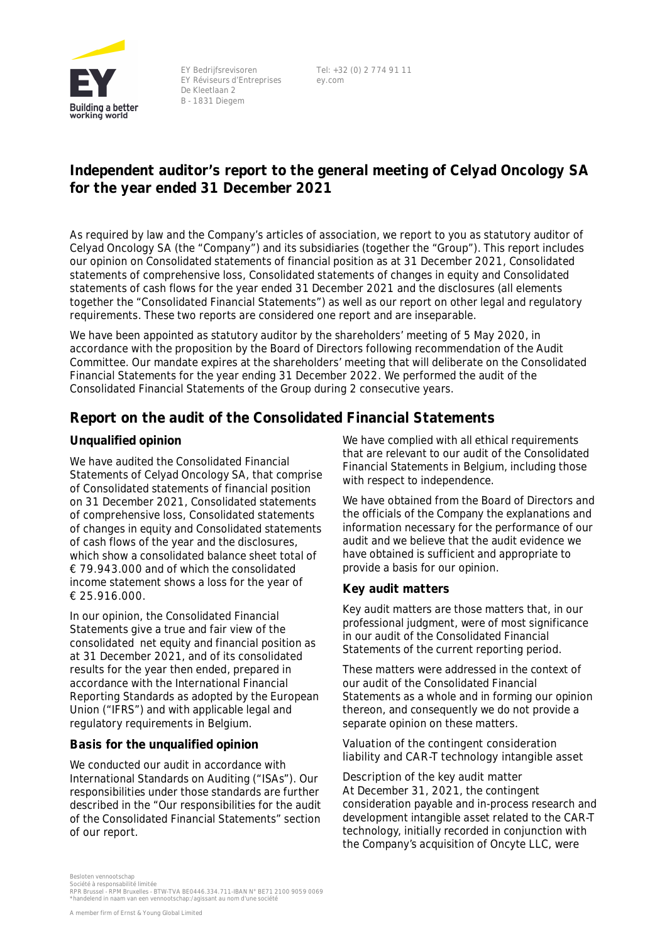

EY Bedrijfsrevisoren EY Réviseurs d'Entreprises De Kleetlaan 2 B - 1831 Diegem

Tel: +32 (0) 2 774 91 11 ey.com

# **Independent auditor's report to the general meeting of Celyad Oncology SA for the year ended 31 December 2021**

As required by law and the Company's articles of association, we report to you as statutory auditor of Celyad Oncology SA (the "Company") and its subsidiaries (together the "Group"). This report includes our opinion on Consolidated statements of financial position as at 31 December 2021, Consolidated statements of comprehensive loss, Consolidated statements of changes in equity and Consolidated statements of cash flows for the year ended 31 December 2021 and the disclosures (all elements together the "Consolidated Financial Statements") as well as our report on other legal and regulatory requirements. These two reports are considered one report and are inseparable.

We have been appointed as statutory auditor by the shareholders' meeting of 5 May 2020, in accordance with the proposition by the Board of Directors following recommendation of the Audit Committee. Our mandate expires at the shareholders' meeting that will deliberate on the Consolidated Financial Statements for the year ending 31 December 2022. We performed the audit of the Consolidated Financial Statements of the Group during 2 consecutive years.

### **Report on the audit of the Consolidated Financial Statements**

### **Unqualified opinion**

We have audited the Consolidated Financial Statements of Celyad Oncology SA, that comprise of Consolidated statements of financial position on 31 December 2021, Consolidated statements of comprehensive loss, Consolidated statements of changes in equity and Consolidated statements of cash flows of the year and the disclosures, which show a consolidated balance sheet total of € 79.943.000 and of which the consolidated income statement shows a loss for the year of € 25.916.000.

In our opinion, the Consolidated Financial Statements give a true and fair view of the consolidated net equity and financial position as at 31 December 2021, and of its consolidated results for the year then ended, prepared in accordance with the International Financial Reporting Standards as adopted by the European Union ("IFRS") and with applicable legal and regulatory requirements in Belgium.

#### **Basis for the unqualified opinion**

We conducted our audit in accordance with International Standards on Auditing ("ISAs"). Our responsibilities under those standards are further described in the "Our responsibilities for the audit of the Consolidated Financial Statements" section of our report.

We have complied with all ethical requirements that are relevant to our audit of the Consolidated Financial Statements in Belgium, including those with respect to independence.

We have obtained from the Board of Directors and the officials of the Company the explanations and information necessary for the performance of our audit and we believe that the audit evidence we have obtained is sufficient and appropriate to provide a basis for our opinion.

#### **Key audit matters**

Key audit matters are those matters that, in our professional judgment, were of most significance in our audit of the Consolidated Financial Statements of the current reporting period.

These matters were addressed in the context of our audit of the Consolidated Financial Statements as a whole and in forming our opinion thereon, and consequently we do not provide a separate opinion on these matters.

**Valuation of the contingent consideration liability and CAR-T technology intangible asset**

*Description of the key audit matter* At December 31, 2021, the contingent consideration payable and in-process research and development intangible asset related to the CAR-T technology, initially recorded in conjunction with the Company's acquisition of Oncyte LLC, were

Besloten vennootschap

Société à responsabilité limitée<br>RPR Brussel - RPM Bruxelles - BTW-TVA BE0446.334.711-IBAN N° BE71 2100 9059 0069<br>\*handelend in naam van een vennootschap:/agissant au nom d'une société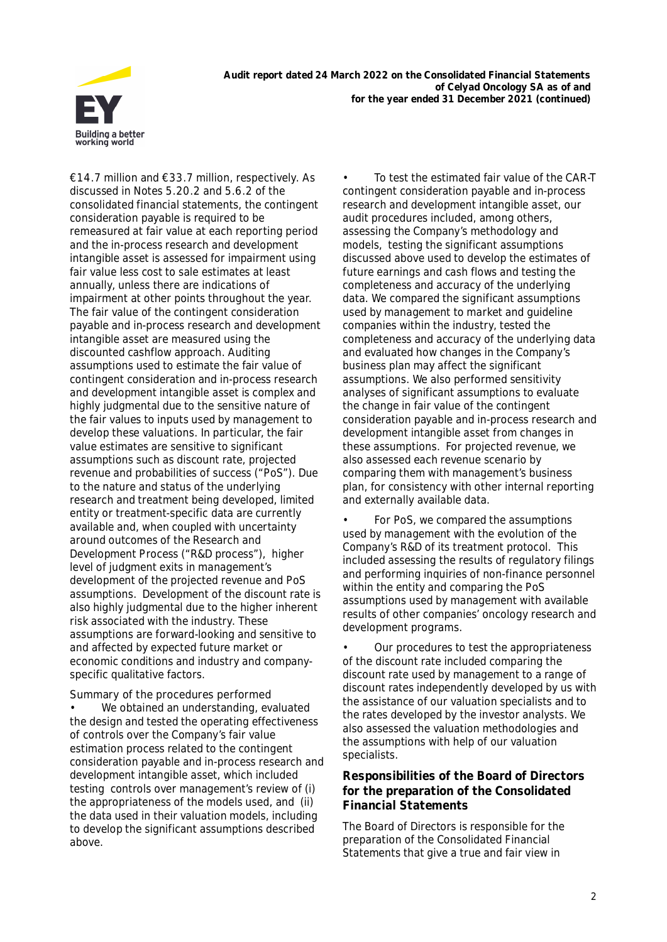

**Audit report dated 24 March 2022 on the Consolidated Financial Statements of Celyad Oncology SA as of and for the year ended 31 December 2021 (continued)**

€14.7 million and €33.7 million, respectively. As discussed in Notes 5.20.2 and 5.6.2 of the consolidated financial statements, the contingent consideration payable is required to be remeasured at fair value at each reporting period and the in-process research and development intangible asset is assessed for impairment using fair value less cost to sale estimates at least annually, unless there are indications of impairment at other points throughout the year. The fair value of the contingent consideration payable and in-process research and development intangible asset are measured using the discounted cashflow approach. Auditing assumptions used to estimate the fair value of contingent consideration and in-process research and development intangible asset is complex and highly judgmental due to the sensitive nature of the fair values to inputs used by management to develop these valuations. In particular, the fair value estimates are sensitive to significant assumptions such as discount rate, projected revenue and probabilities of success ("PoS"). Due to the nature and status of the underlying research and treatment being developed, limited entity or treatment-specific data are currently available and, when coupled with uncertainty around outcomes of the Research and Development Process ("R&D process"), higher level of judgment exits in management's development of the projected revenue and PoS assumptions. Development of the discount rate is also highly judgmental due to the higher inherent risk associated with the industry. These assumptions are forward-looking and sensitive to and affected by expected future market or economic conditions and industry and companyspecific qualitative factors.

**Summary of the procedures performed** We obtained an understanding, evaluated the design and tested the operating effectiveness of controls over the Company's fair value estimation process related to the contingent consideration payable and in-process research and development intangible asset, which included testing controls over management's review of (i) the appropriateness of the models used, and (ii) the data used in their valuation models, including to develop the significant assumptions described above.

To test the estimated fair value of the CAR-T contingent consideration payable and in-process research and development intangible asset, our audit procedures included, among others, assessing the Company's methodology and models, testing the significant assumptions discussed above used to develop the estimates of future earnings and cash flows and testing the completeness and accuracy of the underlying data. We compared the significant assumptions used by management to market and guideline companies within the industry, tested the completeness and accuracy of the underlying data and evaluated how changes in the Company's business plan may affect the significant assumptions. We also performed sensitivity analyses of significant assumptions to evaluate the change in fair value of the contingent consideration payable and in-process research and development intangible asset from changes in these assumptions. For projected revenue, we also assessed each revenue scenario by comparing them with management's business plan, for consistency with other internal reporting and externally available data.

• For PoS, we compared the assumptions used by management with the evolution of the Company's R&D of its treatment protocol. This included assessing the results of regulatory filings and performing inquiries of non-finance personnel within the entity and comparing the PoS assumptions used by management with available results of other companies' oncology research and development programs.

• Our procedures to test the appropriateness of the discount rate included comparing the discount rate used by management to a range of discount rates independently developed by us with the assistance of our valuation specialists and to the rates developed by the investor analysts. We also assessed the valuation methodologies and the assumptions with help of our valuation specialists.

**Responsibilities of the Board of Directors for the preparation of the Consolidated Financial Statements**

The Board of Directors is responsible for the preparation of the Consolidated Financial Statements that give a true and fair view in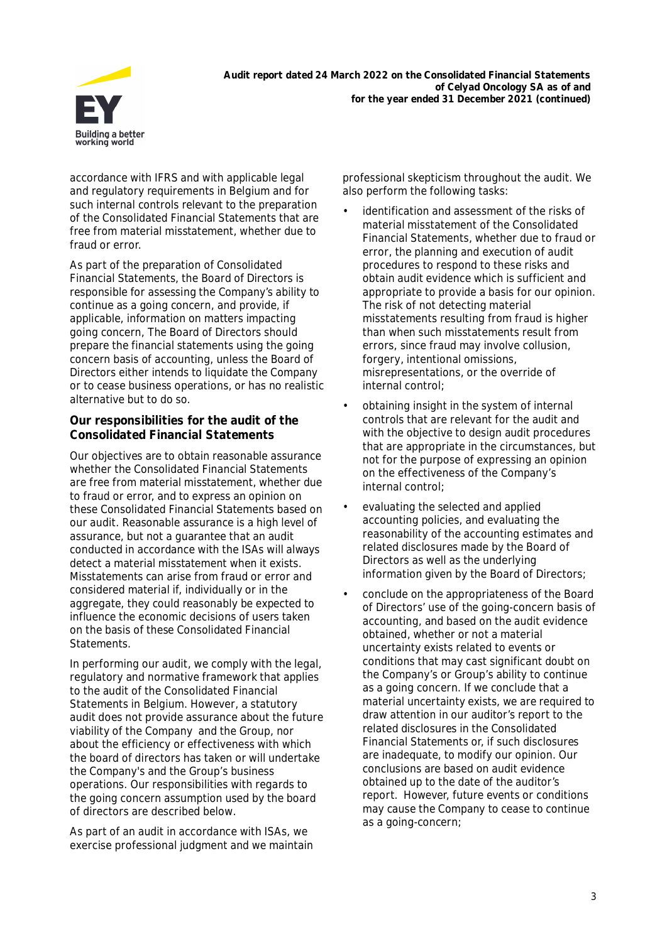

**Audit report dated 24 March 2022 on the Consolidated Financial Statements of Celyad Oncology SA as of and for the year ended 31 December 2021 (continued)**

accordance with IFRS and with applicable legal and regulatory requirements in Belgium and for such internal controls relevant to the preparation of the Consolidated Financial Statements that are free from material misstatement, whether due to fraud or error.

As part of the preparation of Consolidated Financial Statements, the Board of Directors is responsible for assessing the Company's ability to continue as a going concern, and provide, if applicable, information on matters impacting going concern, The Board of Directors should prepare the financial statements using the going concern basis of accounting, unless the Board of Directors either intends to liquidate the Company or to cease business operations, or has no realistic alternative but to do so.

**Our responsibilities for the audit of the Consolidated Financial Statements**

Our objectives are to obtain reasonable assurance whether the Consolidated Financial Statements are free from material misstatement, whether due to fraud or error, and to express an opinion on these Consolidated Financial Statements based on our audit. Reasonable assurance is a high level of assurance, but not a guarantee that an audit conducted in accordance with the ISAs will always detect a material misstatement when it exists. Misstatements can arise from fraud or error and considered material if, individually or in the aggregate, they could reasonably be expected to influence the economic decisions of users taken on the basis of these Consolidated Financial Statements.

In performing our audit, we comply with the legal, regulatory and normative framework that applies to the audit of the Consolidated Financial Statements in Belgium. However, a statutory audit does not provide assurance about the future viability of the Company and the Group, nor about the efficiency or effectiveness with which the board of directors has taken or will undertake the Company's and the Group's business operations. Our responsibilities with regards to the going concern assumption used by the board of directors are described below.

As part of an audit in accordance with ISAs, we exercise professional judgment and we maintain professional skepticism throughout the audit. We also perform the following tasks:

- identification and assessment of the risks of material misstatement of the Consolidated Financial Statements, whether due to fraud or error, the planning and execution of audit procedures to respond to these risks and obtain audit evidence which is sufficient and appropriate to provide a basis for our opinion. The risk of not detecting material misstatements resulting from fraud is higher than when such misstatements result from errors, since fraud may involve collusion, forgery, intentional omissions, misrepresentations, or the override of internal control;
- obtaining insight in the system of internal controls that are relevant for the audit and with the objective to design audit procedures that are appropriate in the circumstances, but not for the purpose of expressing an opinion on the effectiveness of the Company's internal control;
- evaluating the selected and applied accounting policies, and evaluating the reasonability of the accounting estimates and related disclosures made by the Board of Directors as well as the underlying information given by the Board of Directors;
- conclude on the appropriateness of the Board of Directors' use of the going-concern basis of accounting, and based on the audit evidence obtained, whether or not a material uncertainty exists related to events or conditions that may cast significant doubt on the Company's or Group's ability to continue as a going concern. If we conclude that a material uncertainty exists, we are required to draw attention in our auditor's report to the related disclosures in the Consolidated Financial Statements or, if such disclosures are inadequate, to modify our opinion. Our conclusions are based on audit evidence obtained up to the date of the auditor's report. However, future events or conditions may cause the Company to cease to continue as a going-concern;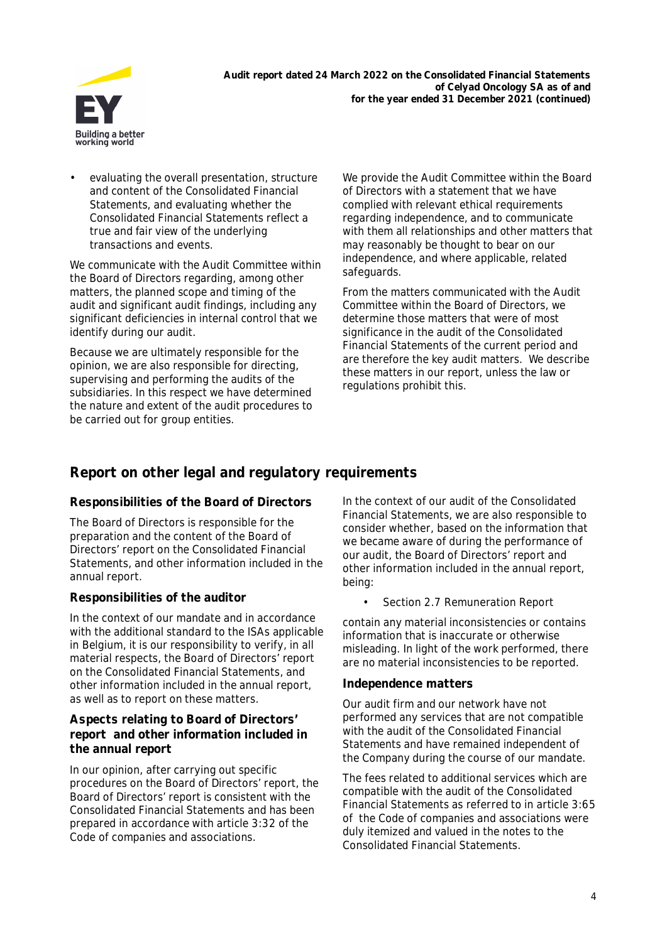

evaluating the overall presentation, structure and content of the Consolidated Financial Statements, and evaluating whether the Consolidated Financial Statements reflect a true and fair view of the underlying transactions and events.

We communicate with the Audit Committee within the Board of Directors regarding, among other matters, the planned scope and timing of the audit and significant audit findings, including any significant deficiencies in internal control that we identify during our audit.

Because we are ultimately responsible for the opinion, we are also responsible for directing, supervising and performing the audits of the subsidiaries. In this respect we have determined the nature and extent of the audit procedures to be carried out for group entities.

We provide the Audit Committee within the Board of Directors with a statement that we have complied with relevant ethical requirements regarding independence, and to communicate with them all relationships and other matters that may reasonably be thought to bear on our independence, and where applicable, related safeguards.

From the matters communicated with the Audit Committee within the Board of Directors, we determine those matters that were of most significance in the audit of the Consolidated Financial Statements of the current period and are therefore the key audit matters. We describe these matters in our report, unless the law or regulations prohibit this.

## **Report on other legal and regulatory requirements**

### **Responsibilities of the Board of Directors**

The Board of Directors is responsible for the preparation and the content of the Board of Directors' report on the Consolidated Financial Statements, and other information included in the annual report.

### **Responsibilities of the auditor**

In the context of our mandate and in accordance with the additional standard to the ISAs applicable in Belgium, it is our responsibility to verify, in all material respects, the Board of Directors' report on the Consolidated Financial Statements, and other information included in the annual report, as well as to report on these matters.

#### **Aspects relating to Board of Directors' report and other information included in the annual report**

In our opinion, after carrying out specific procedures on the Board of Directors' report, the Board of Directors' report is consistent with the Consolidated Financial Statements and has been prepared in accordance with article 3:32 of the Code of companies and associations.

In the context of our audit of the Consolidated Financial Statements, we are also responsible to consider whether, based on the information that we became aware of during the performance of our audit, the Board of Directors' report and other information included in the annual report, being:

Section 2.7 Remuneration Report

contain any material inconsistencies or contains information that is inaccurate or otherwise misleading. In light of the work performed, there are no material inconsistencies to be reported.

### **Independence matters**

Our audit firm and our network have not performed any services that are not compatible with the audit of the Consolidated Financial Statements and have remained independent of the Company during the course of our mandate.

The fees related to additional services which are compatible with the audit of the Consolidated Financial Statements as referred to in article 3:65 of the Code of companies and associations were duly itemized and valued in the notes to the Consolidated Financial Statements.